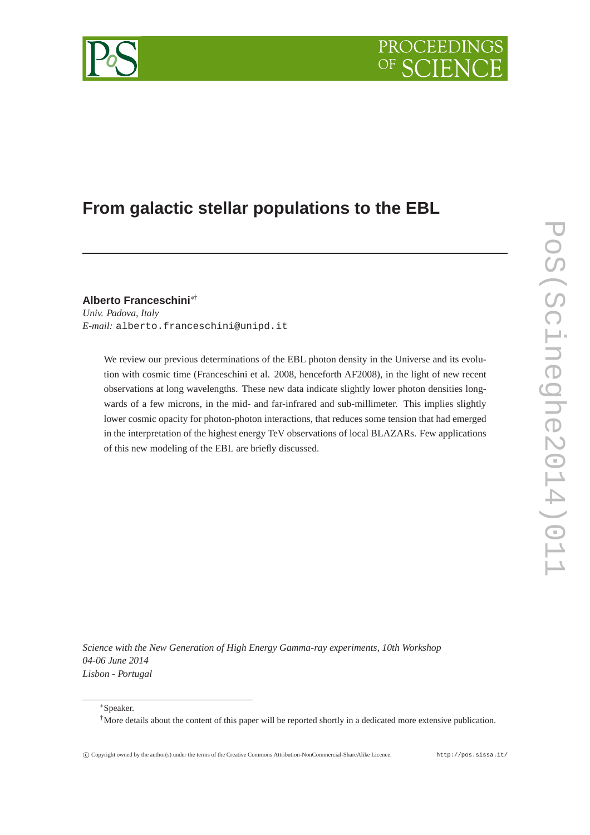

# **From galactic stellar populations to the EBL**

**Alberto Franceschini**∗†

*Univ. Padova, Italy E-mail:* alberto.franceschini@unipd.it

> We review our previous determinations of the EBL photon density in the Universe and its evolution with cosmic time (Franceschini et al. 2008, henceforth AF2008), in the light of new recent observations at long wavelengths. These new data indicate slightly lower photon densities longwards of a few microns, in the mid- and far-infrared and sub-millimeter. This implies slightly lower cosmic opacity for photon-photon interactions, that reduces some tension that had emerged in the interpretation of the highest energy TeV observations of local BLAZARs. Few applications of this new modeling of the EBL are briefly discussed.

*Science with the New Generation of High Energy Gamma-ray experiments, 10th Workshop 04-06 June 2014 Lisbon - Portugal*

<sup>∗</sup>Speaker.

<sup>&</sup>lt;sup>†</sup>More details about the content of this paper will be reported shortly in a dedicated more extensive publication.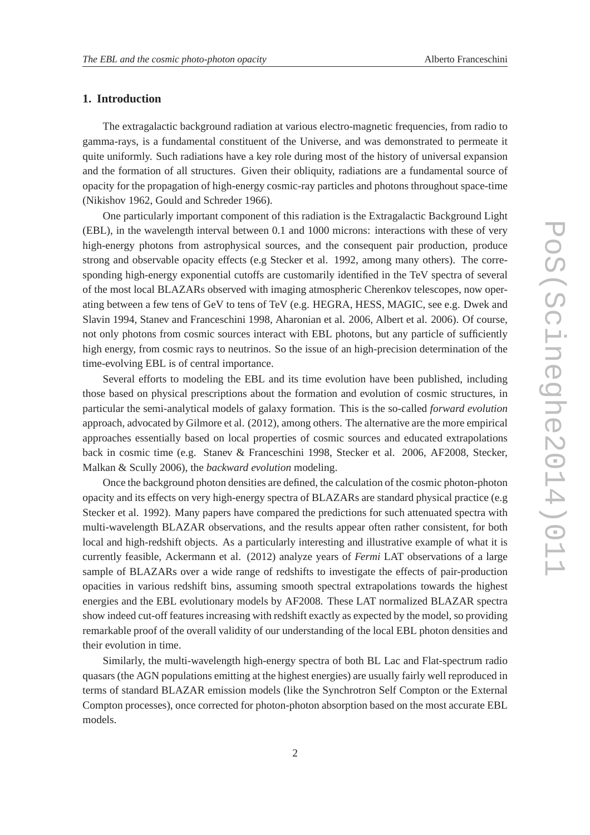## **1. Introduction**

The extragalactic background radiation at various electro-magnetic frequencies, from radio to gamma-rays, is a fundamental constituent of the Universe, and was demonstrated to permeate it quite uniformly. Such radiations have a key role during most of the history of universal expansion and the formation of all structures. Given their obliquity, radiations are a fundamental source of opacity for the propagation of high-energy cosmic-ray particles and photons throughout space-time (Nikishov 1962, Gould and Schreder 1966).

One particularly important component of this radiation is the Extragalactic Background Light (EBL), in the wavelength interval between 0.1 and 1000 microns: interactions with these of very high-energy photons from astrophysical sources, and the consequent pair production, produce strong and observable opacity effects (e.g Stecker et al. 1992, among many others). The corresponding high-energy exponential cutoffs are customarily identified in the TeV spectra of several of the most local BLAZARs observed with imaging atmospheric Cherenkov telescopes, now operating between a few tens of GeV to tens of TeV (e.g. HEGRA, HESS, MAGIC, see e.g. Dwek and Slavin 1994, Stanev and Franceschini 1998, Aharonian et al. 2006, Albert et al. 2006). Of course, not only photons from cosmic sources interact with EBL photons, but any particle of sufficiently high energy, from cosmic rays to neutrinos. So the issue of an high-precision determination of the time-evolving EBL is of central importance.

Several efforts to modeling the EBL and its time evolution have been published, including those based on physical prescriptions about the formation and evolution of cosmic structures, in particular the semi-analytical models of galaxy formation. This is the so-called *forward evolution* approach, advocated by Gilmore et al. (2012), among others. The alternative are the more empirical approaches essentially based on local properties of cosmic sources and educated extrapolations back in cosmic time (e.g. Stanev & Franceschini 1998, Stecker et al. 2006, AF2008, Stecker, Malkan & Scully 2006), the *backward evolution* modeling.

Once the background photon densities are defined, the calculation of the cosmic photon-photon opacity and its effects on very high-energy spectra of BLAZARs are standard physical practice (e.g Stecker et al. 1992). Many papers have compared the predictions for such attenuated spectra with multi-wavelength BLAZAR observations, and the results appear often rather consistent, for both local and high-redshift objects. As a particularly interesting and illustrative example of what it is currently feasible, Ackermann et al. (2012) analyze years of *Fermi* LAT observations of a large sample of BLAZARs over a wide range of redshifts to investigate the effects of pair-production opacities in various redshift bins, assuming smooth spectral extrapolations towards the highest energies and the EBL evolutionary models by AF2008. These LAT normalized BLAZAR spectra show indeed cut-off features increasing with redshift exactly as expected by the model, so providing remarkable proof of the overall validity of our understanding of the local EBL photon densities and their evolution in time.

Similarly, the multi-wavelength high-energy spectra of both BL Lac and Flat-spectrum radio quasars (the AGN populations emitting at the highest energies) are usually fairly well reproduced in terms of standard BLAZAR emission models (like the Synchrotron Self Compton or the External Compton processes), once corrected for photon-photon absorption based on the most accurate EBL models.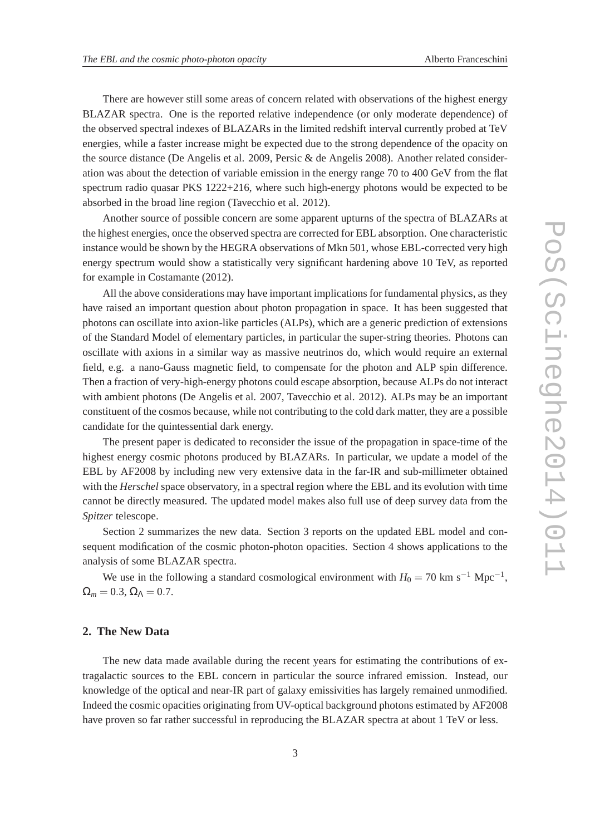There are however still some areas of concern related with observations of the highest energy BLAZAR spectra. One is the reported relative independence (or only moderate dependence) of the observed spectral indexes of BLAZARs in the limited redshift interval currently probed at TeV energies, while a faster increase might be expected due to the strong dependence of the opacity on the source distance (De Angelis et al. 2009, Persic & de Angelis 2008). Another related consideration was about the detection of variable emission in the energy range 70 to 400 GeV from the flat spectrum radio quasar PKS 1222+216, where such high-energy photons would be expected to be absorbed in the broad line region (Tavecchio et al. 2012).

Another source of possible concern are some apparent upturns of the spectra of BLAZARs at the highest energies, once the observed spectra are corrected for EBL absorption. One characteristic instance would be shown by the HEGRA observations of Mkn 501, whose EBL-corrected very high energy spectrum would show a statistically very significant hardening above 10 TeV, as reported for example in Costamante (2012).

All the above considerations may have important implications for fundamental physics, as they have raised an important question about photon propagation in space. It has been suggested that photons can oscillate into axion-like particles (ALPs), which are a generic prediction of extensions of the Standard Model of elementary particles, in particular the super-string theories. Photons can oscillate with axions in a similar way as massive neutrinos do, which would require an external field, e.g. a nano-Gauss magnetic field, to compensate for the photon and ALP spin difference. Then a fraction of very-high-energy photons could escape absorption, because ALPs do not interact with ambient photons (De Angelis et al. 2007, Tavecchio et al. 2012). ALPs may be an important constituent of the cosmos because, while not contributing to the cold dark matter, they are a possible candidate for the quintessential dark energy.

The present paper is dedicated to reconsider the issue of the propagation in space-time of the highest energy cosmic photons produced by BLAZARs. In particular, we update a model of the EBL by AF2008 by including new very extensive data in the far-IR and sub-millimeter obtained with the *Herschel* space observatory, in a spectral region where the EBL and its evolution with time cannot be directly measured. The updated model makes also full use of deep survey data from the *Spitzer* telescope.

Section 2 summarizes the new data. Section 3 reports on the updated EBL model and consequent modification of the cosmic photon-photon opacities. Section 4 shows applications to the analysis of some BLAZAR spectra.

We use in the following a standard cosmological environment with  $H_0 = 70$  km s<sup>-1</sup> Mpc<sup>-1</sup>,  $\Omega_m = 0.3$ ,  $\Omega_{\Lambda} = 0.7$ .

#### **2. The New Data**

The new data made available during the recent years for estimating the contributions of extragalactic sources to the EBL concern in particular the source infrared emission. Instead, our knowledge of the optical and near-IR part of galaxy emissivities has largely remained unmodified. Indeed the cosmic opacities originating from UV-optical background photons estimated by AF2008 have proven so far rather successful in reproducing the BLAZAR spectra at about 1 TeV or less.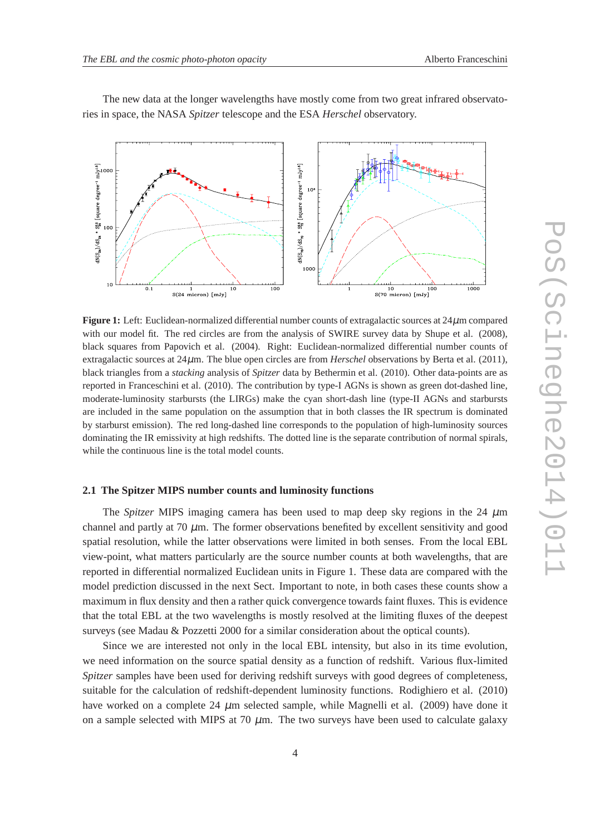

The new data at the longer wavelengths have mostly come from two great infrared observatories in space, the NASA *Spitzer* telescope and the ESA *Herschel* observatory.

**Figure 1:** Left: Euclidean-normalized differential number counts of extragalactic sources at 24µm compared with our model fit. The red circles are from the analysis of SWIRE survey data by Shupe et al. (2008), black squares from Papovich et al. (2004). Right: Euclidean-normalized differential number counts of extragalactic sources at 24µm. The blue open circles are from *Herschel* observations by Berta et al. (2011), black triangles from a *stacking* analysis of *Spitzer* data by Bethermin et al. (2010). Other data-points are as reported in Franceschini et al. (2010). The contribution by type-I AGNs is shown as green dot-dashed line, moderate-luminosity starbursts (the LIRGs) make the cyan short-dash line (type-II AGNs and starbursts are included in the same population on the assumption that in both classes the IR spectrum is dominated by starburst emission). The red long-dashed line corresponds to the population of high-luminosity sources dominating the IR emissivity at high redshifts. The dotted line is the separate contribution of normal spirals, while the continuous line is the total model counts.

### **2.1 The Spitzer MIPS number counts and luminosity functions**

The *Spitzer* MIPS imaging camera has been used to map deep sky regions in the 24  $\mu$ m channel and partly at  $70 \mu m$ . The former observations benefited by excellent sensitivity and good spatial resolution, while the latter observations were limited in both senses. From the local EBL view-point, what matters particularly are the source number counts at both wavelengths, that are reported in differential normalized Euclidean units in Figure 1. These data are compared with the model prediction discussed in the next Sect. Important to note, in both cases these counts show a maximum in flux density and then a rather quick convergence towards faint fluxes. This is evidence that the total EBL at the two wavelengths is mostly resolved at the limiting fluxes of the deepest surveys (see Madau & Pozzetti 2000 for a similar consideration about the optical counts).

Since we are interested not only in the local EBL intensity, but also in its time evolution, we need information on the source spatial density as a function of redshift. Various flux-limited *Spitzer* samples have been used for deriving redshift surveys with good degrees of completeness, suitable for the calculation of redshift-dependent luminosity functions. Rodighiero et al. (2010) have worked on a complete 24  $\mu$ m selected sample, while Magnelli et al. (2009) have done it on a sample selected with MIPS at 70  $\mu$ m. The two surveys have been used to calculate galaxy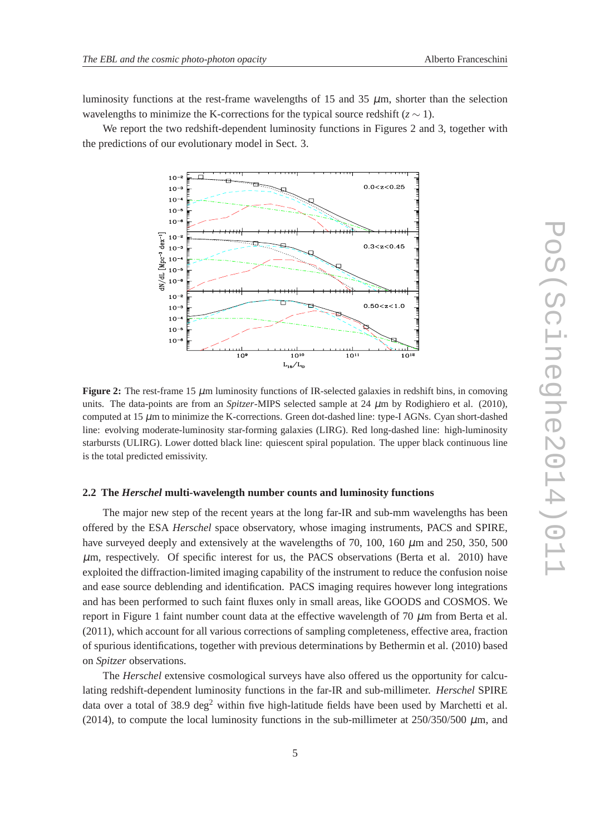luminosity functions at the rest-frame wavelengths of 15 and 35  $\mu$ m, shorter than the selection wavelengths to minimize the K-corrections for the typical source redshift ( $z \sim 1$ ).

We report the two redshift-dependent luminosity functions in Figures 2 and 3, together with the predictions of our evolutionary model in Sect. 3.



**Figure 2:** The rest-frame 15  $\mu$ m luminosity functions of IR-selected galaxies in redshift bins, in comoving units. The data-points are from an *Spitzer*-MIPS selected sample at 24 µm by Rodighiero et al. (2010), computed at  $15 \mu$ m to minimize the K-corrections. Green dot-dashed line: type-I AGNs. Cyan short-dashed line: evolving moderate-luminosity star-forming galaxies (LIRG). Red long-dashed line: high-luminosity starbursts (ULIRG). Lower dotted black line: quiescent spiral population. The upper black continuous line is the total predicted emissivity.

#### **2.2 The** *Herschel* **multi-wavelength number counts and luminosity functions**

The major new step of the recent years at the long far-IR and sub-mm wavelengths has been offered by the ESA *Herschel* space observatory, whose imaging instruments, PACS and SPIRE, have surveyed deeply and extensively at the wavelengths of 70, 100, 160  $\mu$ m and 250, 350, 500  $\mu$ m, respectively. Of specific interest for us, the PACS observations (Berta et al. 2010) have exploited the diffraction-limited imaging capability of the instrument to reduce the confusion noise and ease source deblending and identification. PACS imaging requires however long integrations and has been performed to such faint fluxes only in small areas, like GOODS and COSMOS. We report in Figure 1 faint number count data at the effective wavelength of 70  $\mu$ m from Berta et al. (2011), which account for all various corrections of sampling completeness, effective area, fraction of spurious identifications, together with previous determinations by Bethermin et al. (2010) based on *Spitzer* observations.

The *Herschel* extensive cosmological surveys have also offered us the opportunity for calculating redshift-dependent luminosity functions in the far-IR and sub-millimeter. *Herschel* SPIRE data over a total of 38.9 deg<sup>2</sup> within five high-latitude fields have been used by Marchetti et al. (2014), to compute the local luminosity functions in the sub-millimeter at  $250/350/500 \mu$ m, and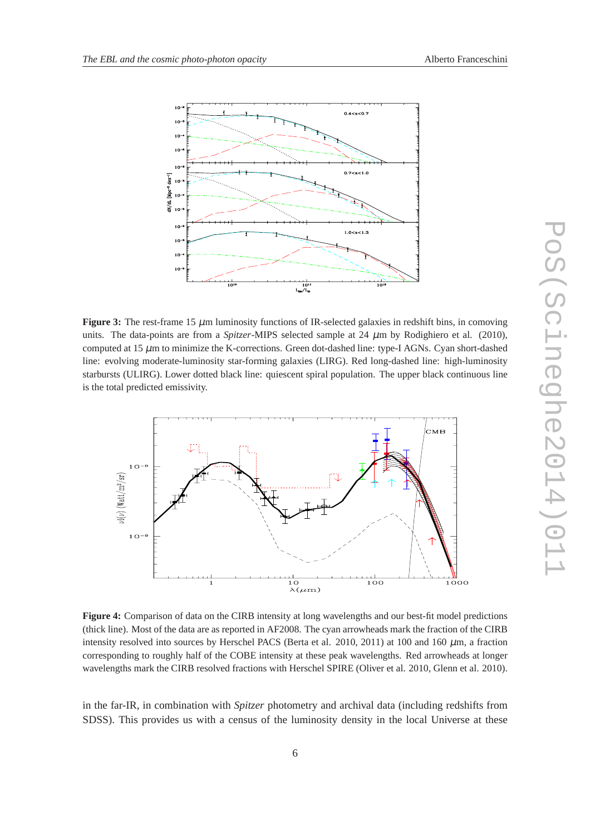



**Figure 3:** The rest-frame 15  $\mu$ m luminosity functions of IR-selected galaxies in redshift bins, in comoving units. The data-points are from a *Spitzer*-MIPS selected sample at 24  $\mu$ m by Rodighiero et al. (2010), computed at 15 µm to minimize the K-corrections. Green dot-dashed line: type-I AGNs. Cyan short-dashed line: evolving moderate-luminosity star-forming galaxies (LIRG). Red long-dashed line: high-luminosity starbursts (ULIRG). Lower dotted black line: quiescent spiral population. The upper black continuous line is the total predicted emissivity.



**Figure 4:** Comparison of data on the CIRB intensity at long wavelengths and our best-fit model predictions (thick line). Most of the data are as reported in AF2008. The cyan arrowheads mark the fraction of the CIRB intensity resolved into sources by Herschel PACS (Berta et al. 2010, 2011) at 100 and 160 µm, a fraction corresponding to roughly half of the COBE intensity at these peak wavelengths. Red arrowheads at longer wavelengths mark the CIRB resolved fractions with Herschel SPIRE (Oliver et al. 2010, Glenn et al. 2010).

in the far-IR, in combination with *Spitzer* photometry and archival data (including redshifts from SDSS). This provides us with a census of the luminosity density in the local Universe at these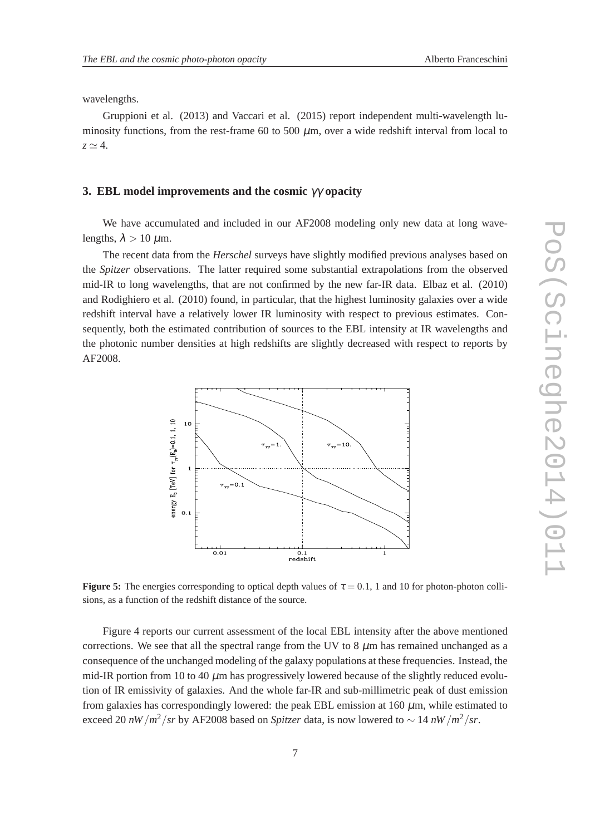wavelengths.

Gruppioni et al. (2013) and Vaccari et al. (2015) report independent multi-wavelength luminosity functions, from the rest-frame 60 to 500  $\mu$ m, over a wide redshift interval from local to  $z \simeq 4$ .

# **3. EBL model improvements and the cosmic** γγ **opacity**

We have accumulated and included in our AF2008 modeling only new data at long wavelengths,  $\lambda > 10 \ \mu \text{m}$ .

The recent data from the *Herschel* surveys have slightly modified previous analyses based on the *Spitzer* observations. The latter required some substantial extrapolations from the observed mid-IR to long wavelengths, that are not confirmed by the new far-IR data. Elbaz et al. (2010) and Rodighiero et al. (2010) found, in particular, that the highest luminosity galaxies over a wide redshift interval have a relatively lower IR luminosity with respect to previous estimates. Consequently, both the estimated contribution of sources to the EBL intensity at IR wavelengths and the photonic number densities at high redshifts are slightly decreased with respect to reports by AF2008.



**Figure 5:** The energies corresponding to optical depth values of  $\tau = 0.1$ , 1 and 10 for photon-photon collisions, as a function of the redshift distance of the source.

Figure 4 reports our current assessment of the local EBL intensity after the above mentioned corrections. We see that all the spectral range from the UV to 8  $\mu$ m has remained unchanged as a consequence of the unchanged modeling of the galaxy populations at these frequencies. Instead, the mid-IR portion from 10 to 40  $\mu$ m has progressively lowered because of the slightly reduced evolution of IR emissivity of galaxies. And the whole far-IR and sub-millimetric peak of dust emission from galaxies has correspondingly lowered: the peak EBL emission at 160  $\mu$ m, while estimated to exceed 20 *nW* /*m*<sup>2</sup>/*sr* by AF2008 based on *Spitzer* data, is now lowered to ∼ 14 *nW* /*m*<sup>2</sup>/*sr*.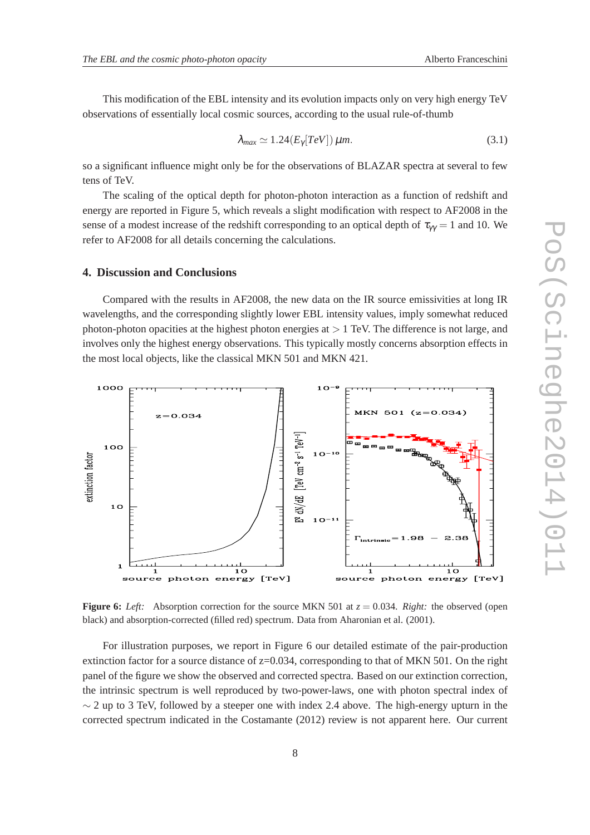This modification of the EBL intensity and its evolution impacts only on very high energy TeV observations of essentially local cosmic sources, according to the usual rule-of-thumb

$$
\lambda_{max} \simeq 1.24 (E_{\gamma}[TeV]) \,\mu m. \tag{3.1}
$$

so a significant influence might only be for the observations of BLAZAR spectra at several to few tens of TeV.

The scaling of the optical depth for photon-photon interaction as a function of redshift and energy are reported in Figure 5, which reveals a slight modification with respect to AF2008 in the sense of a modest increase of the redshift corresponding to an optical depth of  $\tau_{\gamma\gamma} = 1$  and 10. We refer to AF2008 for all details concerning the calculations.

#### **4. Discussion and Conclusions**

Compared with the results in AF2008, the new data on the IR source emissivities at long IR wavelengths, and the corresponding slightly lower EBL intensity values, imply somewhat reduced photon-photon opacities at the highest photon energies at  $> 1$  TeV. The difference is not large, and involves only the highest energy observations. This typically mostly concerns absorption effects in the most local objects, like the classical MKN 501 and MKN 421.



**Figure 6:** *Left:* Absorption correction for the source MKN 501 at  $z = 0.034$ . *Right:* the observed (open black) and absorption-corrected (filled red) spectrum. Data from Aharonian et al. (2001).

For illustration purposes, we report in Figure 6 our detailed estimate of the pair-production extinction factor for a source distance of  $z=0.034$ , corresponding to that of MKN 501. On the right panel of the figure we show the observed and corrected spectra. Based on our extinction correction, the intrinsic spectrum is well reproduced by two-power-laws, one with photon spectral index of  $\sim$  2 up to 3 TeV, followed by a steeper one with index 2.4 above. The high-energy upturn in the corrected spectrum indicated in the Costamante (2012) review is not apparent here. Our current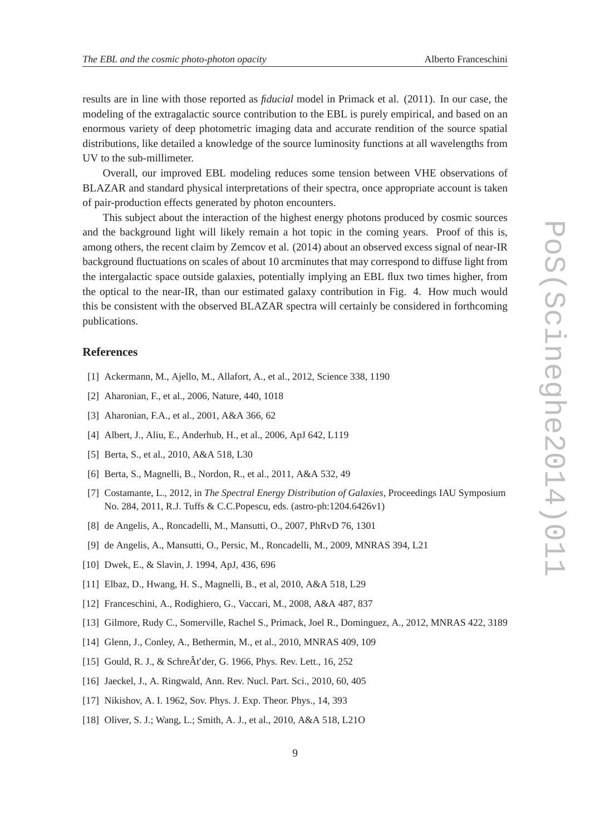results are in line with those reported as *fiducial* model in Primack et al. (2011). In our case, the modeling of the extragalactic source contribution to the EBL is purely empirical, and based on an enormous variety of deep photometric imaging data and accurate rendition of the source spatial distributions, like detailed a knowledge of the source luminosity functions at all wavelengths from UV to the sub-millimeter.

Overall, our improved EBL modeling reduces some tension between VHE observations of BLAZAR and standard physical interpretations of their spectra, once appropriate account is taken of pair-production effects generated by photon encounters.

This subject about the interaction of the highest energy photons produced by cosmic sources and the background light will likely remain a hot topic in the coming years. Proof of this is, among others, the recent claim by Zemcov et al. (2014) about an observed excess signal of near-IR background fluctuations on scales of about 10 arcminutes that may correspond to diffuse light from the intergalactic space outside galaxies, potentially implying an EBL flux two times higher, from the optical to the near-IR, than our estimated galaxy contribution in Fig. 4. How much would this be consistent with the observed BLAZAR spectra will certainly be considered in forthcoming publications.

# **References**

- [1] Ackermann, M., Ajello, M., Allafort, A., et al., 2012, Science 338, 1190
- [2] Aharonian, F., et al., 2006, Nature, 440, 1018
- [3] Aharonian, F.A., et al., 2001, A&A 366, 62
- [4] Albert, J., Aliu, E., Anderhub, H., et al., 2006, ApJ 642, L119
- [5] Berta, S., et al., 2010, A&A 518, L30
- [6] Berta, S., Magnelli, B., Nordon, R., et al., 2011, A&A 532, 49
- [7] Costamante, L., 2012, in *The Spectral Energy Distribution of Galaxies*, Proceedings IAU Symposium No. 284, 2011, R.J. Tuffs & C.C.Popescu, eds. (astro-ph:1204.6426v1)
- [8] de Angelis, A., Roncadelli, M., Mansutti, O., 2007, PhRvD 76, 1301
- [9] de Angelis, A., Mansutti, O., Persic, M., Roncadelli, M., 2009, MNRAS 394, L21
- [10] Dwek, E., & Slavin, J. 1994, ApJ, 436, 696
- [11] Elbaz, D., Hwang, H. S., Magnelli, B., et al, 2010, A&A 518, L29
- [12] Franceschini, A., Rodighiero, G., Vaccari, M., 2008, A&A 487, 837
- [13] Gilmore, Rudy C., Somerville, Rachel S., Primack, Joel R., Dominguez, A., 2012, MNRAS 422, 3189
- [14] Glenn, J., Conley, A., Bethermin, M., et al., 2010, MNRAS 409, 109
- [15] Gould, R. J., & SchreÂt'der, G. 1966, Phys. Rev. Lett., 16, 252
- [16] Jaeckel, J., A. Ringwald, Ann. Rev. Nucl. Part. Sci., 2010, 60, 405
- [17] Nikishov, A. I. 1962, Sov. Phys. J. Exp. Theor. Phys., 14, 393
- [18] Oliver, S. J.; Wang, L.; Smith, A. J., et al., 2010, A&A 518, L21O